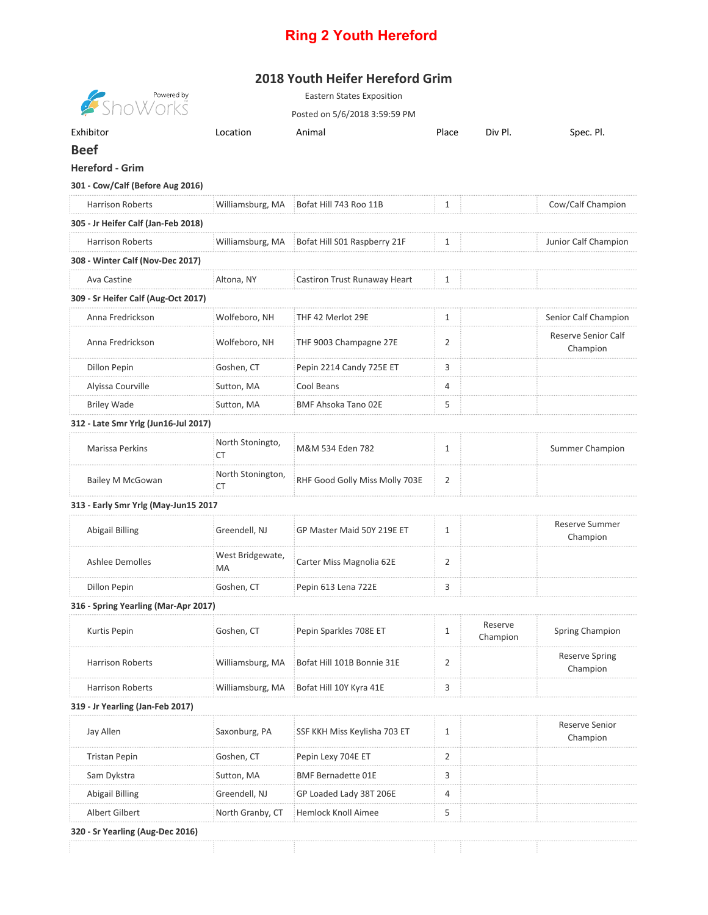## **Ring 2 Youth Hereford**

## **2018 Youth Heifer Hereford Grim**

| <b>Showered by</b><br>Show orks      |                               | <b>Eastern States Exposition</b><br>Posted on 5/6/2018 3:59:59 PM |                |                     |                                   |
|--------------------------------------|-------------------------------|-------------------------------------------------------------------|----------------|---------------------|-----------------------------------|
| Exhibitor                            | Location                      | Animal                                                            | Place          | Div Pl.             |                                   |
| <b>Beef</b>                          |                               |                                                                   |                |                     | Spec. Pl.                         |
| <b>Hereford - Grim</b>               |                               |                                                                   |                |                     |                                   |
| 301 - Cow/Calf (Before Aug 2016)     |                               |                                                                   |                |                     |                                   |
|                                      |                               |                                                                   |                |                     |                                   |
| <b>Harrison Roberts</b>              | Williamsburg, MA              | Bofat Hill 743 Roo 11B                                            | 1              |                     | Cow/Calf Champion                 |
| 305 - Jr Heifer Calf (Jan-Feb 2018)  |                               |                                                                   |                |                     |                                   |
| <b>Harrison Roberts</b>              | Williamsburg, MA              | Bofat Hill S01 Raspberry 21F                                      | $\mathbf{1}$   |                     | Junior Calf Champion              |
| 308 - Winter Calf (Nov-Dec 2017)     |                               |                                                                   |                |                     |                                   |
| Ava Castine                          | Altona, NY                    | Castiron Trust Runaway Heart                                      | $\mathbf{1}$   |                     |                                   |
| 309 - Sr Heifer Calf (Aug-Oct 2017)  |                               |                                                                   |                |                     |                                   |
| Anna Fredrickson                     | Wolfeboro, NH                 | THF 42 Merlot 29E                                                 | $\mathbf{1}$   |                     | Senior Calf Champion              |
| Anna Fredrickson                     | Wolfeboro, NH                 | THF 9003 Champagne 27E                                            | 2              |                     | Reserve Senior Calf<br>Champion   |
| <b>Dillon Pepin</b>                  | Goshen, CT                    | Pepin 2214 Candy 725E ET                                          | 3              |                     |                                   |
| Alyissa Courville                    | Sutton, MA                    | Cool Beans                                                        | $\overline{4}$ |                     |                                   |
| <b>Briley Wade</b>                   | Sutton, MA                    | BMF Ahsoka Tano 02E                                               | 5              |                     |                                   |
| 312 - Late Smr Yrlg (Jun16-Jul 2017) |                               |                                                                   |                |                     |                                   |
| Marissa Perkins                      | North Stoningto,<br><b>CT</b> | M&M 534 Eden 782                                                  | $\mathbf{1}$   |                     | <b>Summer Champion</b>            |
| Bailey M McGowan                     | North Stonington,<br>СT       | RHF Good Golly Miss Molly 703E                                    | 2              |                     |                                   |
| 313 - Early Smr Yrlg (May-Jun15 2017 |                               |                                                                   |                |                     |                                   |
| <b>Abigail Billing</b>               | Greendell, NJ                 | GP Master Maid 50Y 219E ET                                        | $\mathbf{1}$   |                     | <b>Reserve Summer</b><br>Champion |
| <b>Ashlee Demolles</b>               | West Bridgewate,<br>MA        | Carter Miss Magnolia 62E                                          | 2              |                     |                                   |
| Dillon Pepin                         | Goshen, CT                    | Pepin 613 Lena 722E                                               | 3              |                     |                                   |
| 316 - Spring Yearling (Mar-Apr 2017) |                               |                                                                   |                |                     |                                   |
| Kurtis Pepin                         | Goshen, CT                    | Pepin Sparkles 708E ET                                            | 1              | Reserve<br>Champion | Spring Champion                   |
| <b>Harrison Roberts</b>              | Williamsburg, MA              | Bofat Hill 101B Bonnie 31E                                        | $\overline{2}$ |                     | <b>Reserve Spring</b><br>Champion |
| <b>Harrison Roberts</b>              | Williamsburg, MA              | Bofat Hill 10Y Kyra 41E                                           | 3              |                     |                                   |
| 319 - Jr Yearling (Jan-Feb 2017)     |                               |                                                                   |                |                     |                                   |
| Jay Allen                            | Saxonburg, PA                 | SSF KKH Miss Keylisha 703 ET                                      | 1              |                     | <b>Reserve Senior</b><br>Champion |
| Tristan Pepin                        | Goshen, CT                    | Pepin Lexy 704E ET                                                | 2              |                     |                                   |
| Sam Dykstra                          | Sutton, MA                    | <b>BMF Bernadette 01E</b>                                         | 3              |                     |                                   |
| Abigail Billing                      | Greendell, NJ                 | GP Loaded Lady 38T 206E                                           | 4              |                     |                                   |
| Albert Gilbert                       | North Granby, CT              | Hemlock Knoll Aimee                                               | 5              |                     |                                   |
| 320 - Sr Yearling (Aug-Dec 2016)     |                               |                                                                   |                |                     |                                   |